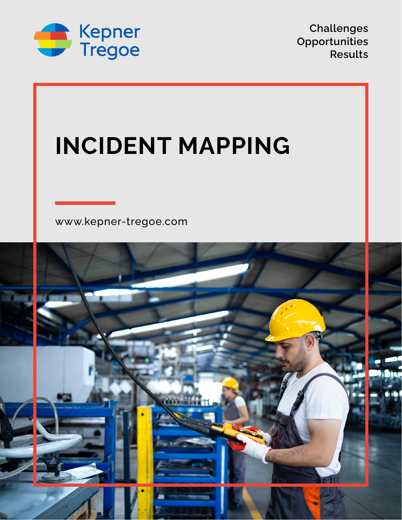

**Challenges Opportunities Results**

# **INCIDENT MAPPING**

[www.kepner-tregoe.com](http://www.kepner-tregoe.com)